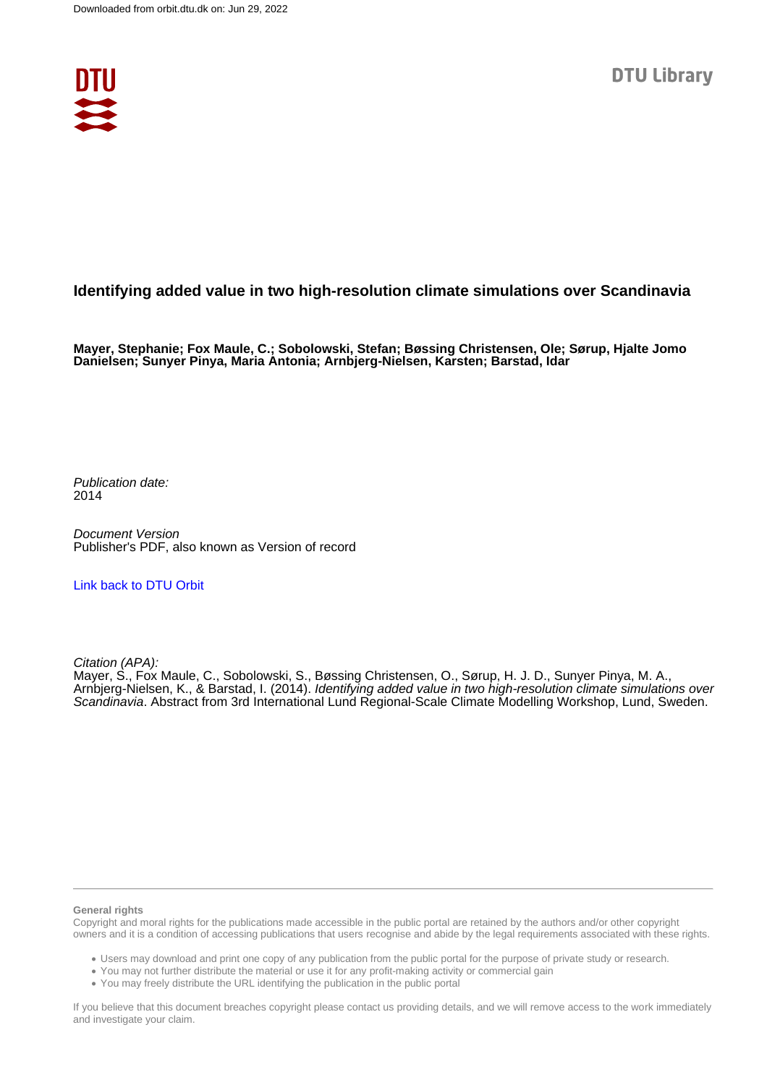

## **Identifying added value in two high-resolution climate simulations over Scandinavia**

**Mayer, Stephanie; Fox Maule, C.; Sobolowski, Stefan; Bøssing Christensen, Ole; Sørup, Hjalte Jomo Danielsen; Sunyer Pinya, Maria Antonia; Arnbjerg-Nielsen, Karsten; Barstad, Idar**

Publication date: 2014

Document Version Publisher's PDF, also known as Version of record

[Link back to DTU Orbit](https://orbit.dtu.dk/en/publications/b3ab3ae4-fe73-4ee1-ad10-5cb1832e8eed)

Citation (APA):

Mayer, S., Fox Maule, C., Sobolowski, S., Bøssing Christensen, O., Sørup, H. J. D., Sunyer Pinya, M. A., Arnbjerg-Nielsen, K., & Barstad, I. (2014). Identifying added value in two high-resolution climate simulations over Scandinavia. Abstract from 3rd International Lund Regional-Scale Climate Modelling Workshop, Lund, Sweden.

#### **General rights**

Copyright and moral rights for the publications made accessible in the public portal are retained by the authors and/or other copyright owners and it is a condition of accessing publications that users recognise and abide by the legal requirements associated with these rights.

Users may download and print one copy of any publication from the public portal for the purpose of private study or research.

- You may not further distribute the material or use it for any profit-making activity or commercial gain
- You may freely distribute the URL identifying the publication in the public portal

If you believe that this document breaches copyright please contact us providing details, and we will remove access to the work immediately and investigate your claim.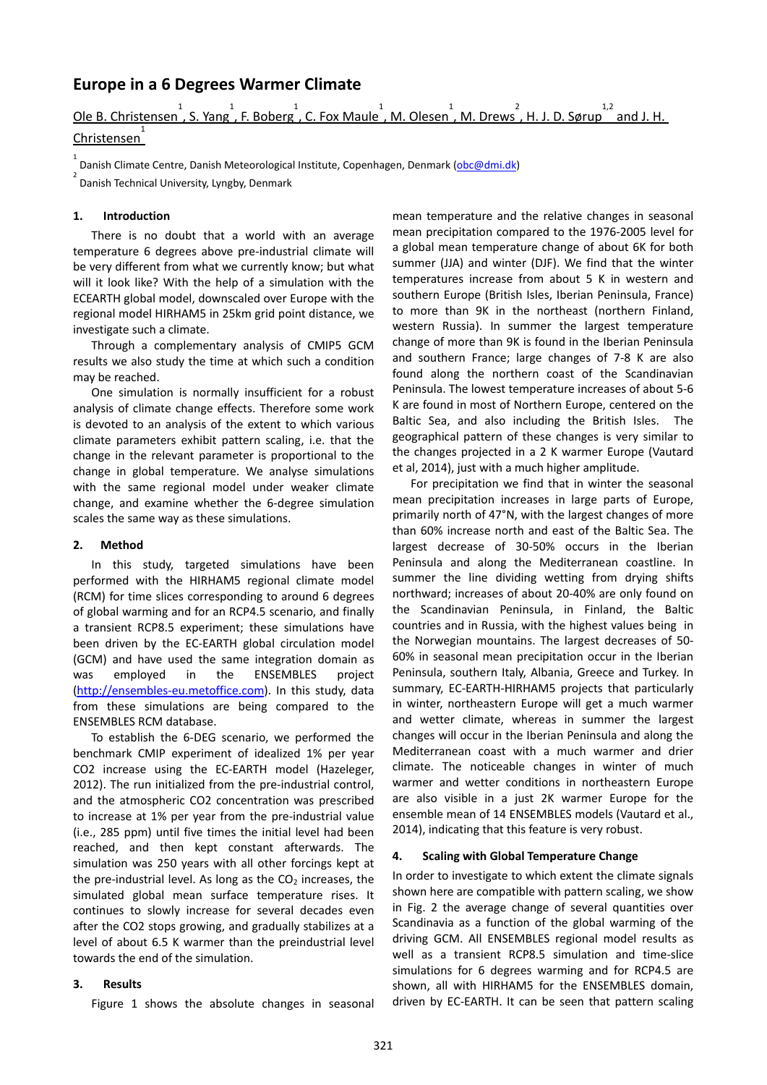## **Europe in a 6 Degrees Warmer Climate**

Ole B. Christensen, S. Yang, F. Boberg, C. Fox Maule, M. Olesen, M. Drews, H. J. D. Sørup,  $\frac{1}{2}$  and J. H.

# Christensen 1

1 Danish Climate Centre, Danish Meteorological Institute, Copenhagen, Denmark (obc@dmi.dk)

Danish Technical University, Lyngby, Denmark

#### **1. Introduction**

There is no doubt that a world with an average temperature 6 degrees above pre-industrial climate will be very different from what we currently know; but what will it look like? With the help of a simulation with the ECEARTH global model, downscaled over Europe with the regional model HIRHAM5 in 25km grid point distance, we investigate such a climate.

Through a complementary analysis of CMIP5 GCM results we also study the time at which such a condition may be reached.

One simulation is normally insufficient for a robust analysis of climate change effects. Therefore some work is devoted to an analysis of the extent to which various climate parameters exhibit pattern scaling, i.e. that the change in the relevant parameter is proportional to the change in global temperature. We analyse simulations with the same regional model under weaker climate change, and examine whether the 6-degree simulation scales the same way as these simulations.

#### **2. Method**

In this study, targeted simulations have been performed with the HIRHAM5 regional climate model (RCM) for time slices corresponding to around 6 degrees of global warming and for an RCP4.5 scenario, and finally a transient RCP8.5 experiment; these simulations have been driven by the EC-EARTH global circulation model (GCM) and have used the same integration domain as was employed in the ENSEMBLES project (http://ensembles-eu.metoffice.com). In this study, data from these simulations are being compared to the ENSEMBLES RCM database.

To establish the 6-DEG scenario, we performed the benchmark CMIP experiment of idealized 1% per year CO2 increase using the EC-EARTH model (Hazeleger, 2012). The run initialized from the pre-industrial control, and the atmospheric CO2 concentration was prescribed to increase at 1% per year from the pre-industrial value (i.e., 285 ppm) until five times the initial level had been reached, and then kept constant afterwards. The simulation was 250 years with all other forcings kept at the pre-industrial level. As long as the  $CO<sub>2</sub>$  increases, the simulated global mean surface temperature rises. It continues to slowly increase for several decades even after the CO2 stops growing, and gradually stabilizes at a level of about 6.5 K warmer than the preindustrial level towards the end of the simulation.

#### **3. Results**

Figure 1 shows the absolute changes in seasonal

mean temperature and the relative changes in seasonal mean precipitation compared to the 1976-2005 level for a global mean temperature change of about 6K for both summer (JJA) and winter (DJF). We find that the winter temperatures increase from about 5 K in western and southern Europe (British Isles, Iberian Peninsula, France) to more than 9K in the northeast (northern Finland, western Russia). In summer the largest temperature change of more than 9K is found in the Iberian Peninsula and southern France; large changes of 7-8 K are also found along the northern coast of the Scandinavian Peninsula. The lowest temperature increases of about 5-6 K are found in most of Northern Europe, centered on the Baltic Sea, and also including the British Isles. The geographical pattern of these changes is very similar to the changes projected in a 2 K warmer Europe (Vautard et al, 2014), just with a much higher amplitude.

For precipitation we find that in winter the seasonal mean precipitation increases in large parts of Europe, primarily north of 47°N, with the largest changes of more than 60% increase north and east of the Baltic Sea. The largest decrease of 30-50% occurs in the Iberian Peninsula and along the Mediterranean coastline. In summer the line dividing wetting from drying shifts northward; increases of about 20-40% are only found on the Scandinavian Peninsula, in Finland, the Baltic countries and in Russia, with the highest values being in the Norwegian mountains. The largest decreases of 50- 60% in seasonal mean precipitation occur in the Iberian Peninsula, southern Italy, Albania, Greece and Turkey. In summary, EC-EARTH-HIRHAM5 projects that particularly in winter, northeastern Europe will get a much warmer and wetter climate, whereas in summer the largest changes will occur in the Iberian Peninsula and along the Mediterranean coast with a much warmer and drier climate. The noticeable changes in winter of much warmer and wetter conditions in northeastern Europe are also visible in a just 2K warmer Europe for the ensemble mean of 14 ENSEMBLES models (Vautard et al., 2014), indicating that this feature is very robust.

#### **4. Scaling with Global Temperature Change**

In order to investigate to which extent the climate signals shown here are compatible with pattern scaling, we show in Fig. 2 the average change of several quantities over Scandinavia as a function of the global warming of the driving GCM. All ENSEMBLES regional model results as well as a transient RCP8.5 simulation and time-slice simulations for 6 degrees warming and for RCP4.5 are shown, all with HIRHAM5 for the ENSEMBLES domain, driven by EC-EARTH. It can be seen that pattern scaling